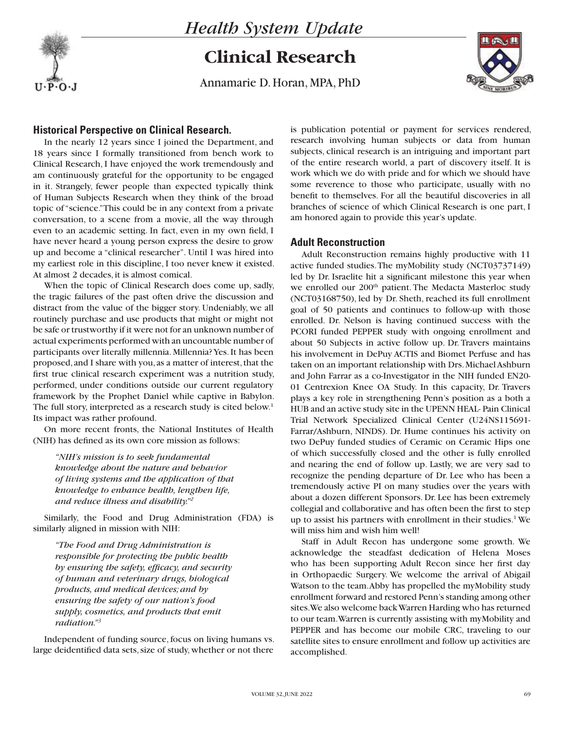## *Health System Update*

# **Clinical Research**

Annamarie D. Horan, MPA, PhD



## **Historical Perspective on Clinical Research.**

In the nearly 12 years since I joined the Department, and 18 years since I formally transitioned from bench work to Clinical Research, I have enjoyed the work tremendously and am continuously grateful for the opportunity to be engaged in it. Strangely, fewer people than expected typically think of Human Subjects Research when they think of the broad topic of "science." This could be in any context from a private conversation, to a scene from a movie, all the way through even to an academic setting. In fact, even in my own field, I have never heard a young person express the desire to grow up and become a "clinical researcher". Until I was hired into my earliest role in this discipline, I too never knew it existed. At almost 2 decades, it is almost comical.

When the topic of Clinical Research does come up, sadly, the tragic failures of the past often drive the discussion and distract from the value of the bigger story. Undeniably, we all routinely purchase and use products that might or might not be safe or trustworthy if it were not for an unknown number of actual experiments performed with an uncountable number of participants over literally millennia. Millennia? Yes. It has been proposed, and I share with you, as a matter of interest, that the first true clinical research experiment was a nutrition study, performed, under conditions outside our current regulatory framework by the Prophet Daniel while captive in Babylon. The full story, interpreted as a research study is cited below.<sup>1</sup> Its impact was rather profound.

On more recent fronts, the National Institutes of Health (NIH) has defined as its own core mission as follows:

*"NIH's mission is to seek fundamental knowledge about the nature and behavior of living systems and the application of that knowledge to enhance health, lengthen life, and reduce illness and disability."2*

Similarly, the Food and Drug Administration (FDA) is similarly aligned in mission with NIH:

*"The Food and Drug Administration is responsible for protecting the public health by ensuring the safety, efficacy, and security of human and veterinary drugs, biological products, and medical devices; and by ensuring the safety of our nation's food supply, cosmetics, and products that emit radiation."3*

Independent of funding source, focus on living humans vs. large deidentified data sets, size of study, whether or not there

is publication potential or payment for services rendered, research involving human subjects or data from human subjects, clinical research is an intriguing and important part of the entire research world, a part of discovery itself. It is work which we do with pride and for which we should have some reverence to those who participate, usually with no benefit to themselves. For all the beautiful discoveries in all branches of science of which Clinical Research is one part, I am honored again to provide this year's update.

### **Adult Reconstruction**

Adult Reconstruction remains highly productive with 11 active funded studies. The myMobility study (NCT03737149) led by Dr. Israelite hit a significant milestone this year when we enrolled our 200<sup>th</sup> patient. The Medacta Masterloc study (NCT03168750), led by Dr. Sheth, reached its full enrollment goal of 50 patients and continues to follow-up with those enrolled. Dr. Nelson is having continued success with the PCORI funded PEPPER study with ongoing enrollment and about 50 Subjects in active follow up. Dr. Travers maintains his involvement in DePuy ACTIS and Biomet Perfuse and has taken on an important relationship with Drs. Michael Ashburn and John Farrar as a co-Investigator in the NIH funded EN20- 01 Centrexion Knee OA Study. In this capacity, Dr. Travers plays a key role in strengthening Penn's position as a both a HUB and an active study site in the UPENN HEAL- Pain Clinical Trial Network Specialized Clinical Center (U24NS115691- Farrar/Ashburn, NINDS). Dr. Hume continues his activity on two DePuy funded studies of Ceramic on Ceramic Hips one of which successfully closed and the other is fully enrolled and nearing the end of follow up. Lastly, we are very sad to recognize the pending departure of Dr. Lee who has been a tremendously active PI on many studies over the years with about a dozen different Sponsors. Dr. Lee has been extremely collegial and collaborative and has often been the first to step up to assist his partners with enrollment in their studies.<sup>1</sup> We will miss him and wish him well!

Staff in Adult Recon has undergone some growth. We acknowledge the steadfast dedication of Helena Moses who has been supporting Adult Recon since her first day in Orthopaedic Surgery. We welcome the arrival of Abigail Watson to the team. Abby has propelled the myMobility study enrollment forward and restored Penn's standing among other sites. We also welcome back Warren Harding who has returned to our team. Warren is currently assisting with myMobility and PEPPER and has become our mobile CRC, traveling to our satellite sites to ensure enrollment and follow up activities are accomplished.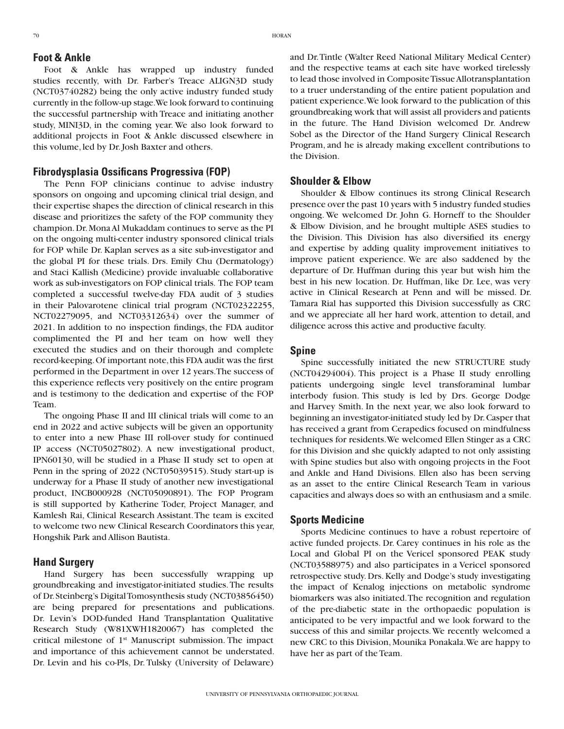#### **Foot & Ankle**

Foot & Ankle has wrapped up industry funded studies recently, with Dr. Farber's Treace ALIGN3D study (NCT03740282) being the only active industry funded study currently in the follow-up stage. We look forward to continuing the successful partnership with Treace and initiating another study, MINI3D, in the coming year. We also look forward to additional projects in Foot & Ankle discussed elsewhere in this volume, led by Dr. Josh Baxter and others.

#### **Fibrodysplasia Ossificans Progressiva (FOP)**

The Penn FOP clinicians continue to advise industry sponsors on ongoing and upcoming clinical trial design, and their expertise shapes the direction of clinical research in this disease and prioritizes the safety of the FOP community they champion. Dr. Mona Al Mukaddam continues to serve as the PI on the ongoing multi-center industry sponsored clinical trials for FOP while Dr. Kaplan serves as a site sub-investigator and the global PI for these trials. Drs. Emily Chu (Dermatology) and Staci Kallish (Medicine) provide invaluable collaborative work as sub-investigators on FOP clinical trials. The FOP team completed a successful twelve-day FDA audit of 3 studies in their Palovarotene clinical trial program (NCT02322255, NCT02279095, and NCT03312634) over the summer of 2021. In addition to no inspection findings, the FDA auditor complimented the PI and her team on how well they executed the studies and on their thorough and complete record-keeping. Of important note, this FDA audit was the first performed in the Department in over 12 years. The success of this experience reflects very positively on the entire program and is testimony to the dedication and expertise of the FOP Team.

The ongoing Phase II and III clinical trials will come to an end in 2022 and active subjects will be given an opportunity to enter into a new Phase III roll-over study for continued IP access (NCT05027802). A new investigational product, IPN60130, will be studied in a Phase II study set to open at Penn in the spring of 2022 (NCT05039515). Study start-up is underway for a Phase II study of another new investigational product, INCB000928 (NCT05090891). The FOP Program is still supported by Katherine Toder, Project Manager, and Kamlesh Rai, Clinical Research Assistant. The team is excited to welcome two new Clinical Research Coordinators this year, Hongshik Park and Allison Bautista.

#### **Hand Surgery**

Hand Surgery has been successfully wrapping up groundbreaking and investigator-initiated studies. The results of Dr. Steinberg's Digital Tomosynthesis study (NCT03856450) are being prepared for presentations and publications. Dr. Levin's DOD-funded Hand Transplantation Qualitative Research Study (W81XWH1820067) has completed the critical milestone of 1st Manuscript submission. The impact and importance of this achievement cannot be understated. Dr. Levin and his co-PIs, Dr. Tulsky (University of Delaware)

and Dr. Tintle (Walter Reed National Military Medical Center) and the respective teams at each site have worked tirelessly to lead those involved in Composite Tissue Allotransplantation to a truer understanding of the entire patient population and patient experience. We look forward to the publication of this groundbreaking work that will assist all providers and patients in the future. The Hand Division welcomed Dr. Andrew Sobel as the Director of the Hand Surgery Clinical Research Program, and he is already making excellent contributions to the Division.

#### **Shoulder & Elbow**

Shoulder & Elbow continues its strong Clinical Research presence over the past 10 years with 5 industry funded studies ongoing. We welcomed Dr. John G. Horneff to the Shoulder & Elbow Division, and he brought multiple ASES studies to the Division. This Division has also diversified its energy and expertise by adding quality improvement initiatives to improve patient experience. We are also saddened by the departure of Dr. Huffman during this year but wish him the best in his new location. Dr. Huffman, like Dr. Lee, was very active in Clinical Research at Penn and will be missed. Dr. Tamara Rial has supported this Division successfully as CRC and we appreciate all her hard work, attention to detail, and diligence across this active and productive faculty.

#### **Spine**

Spine successfully initiated the new STRUCTURE study (NCT04294004). This project is a Phase II study enrolling patients undergoing single level transforaminal lumbar interbody fusion. This study is led by Drs. George Dodge and Harvey Smith. In the next year, we also look forward to beginning an investigator-initiated study led by Dr. Casper that has received a grant from Cerapedics focused on mindfulness techniques for residents. We welcomed Ellen Stinger as a CRC for this Division and she quickly adapted to not only assisting with Spine studies but also with ongoing projects in the Foot and Ankle and Hand Divisions. Ellen also has been serving as an asset to the entire Clinical Research Team in various capacities and always does so with an enthusiasm and a smile.

#### **Sports Medicine**

Sports Medicine continues to have a robust repertoire of active funded projects. Dr. Carey continues in his role as the Local and Global PI on the Vericel sponsored PEAK study (NCT03588975) and also participates in a Vericel sponsored retrospective study. Drs. Kelly and Dodge's study investigating the impact of Kenalog injections on metabolic syndrome biomarkers was also initiated. The recognition and regulation of the pre-diabetic state in the orthopaedic population is anticipated to be very impactful and we look forward to the success of this and similar projects. We recently welcomed a new CRC to this Division, Mounika Ponakala. We are happy to have her as part of the Team.